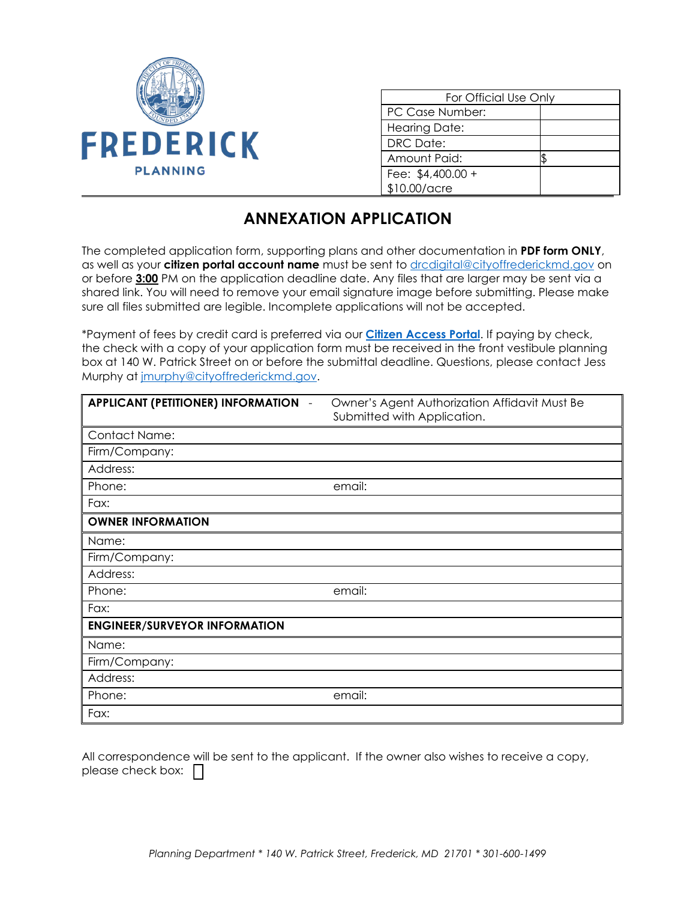

| For Official Use Only |  |
|-----------------------|--|
| PC Case Number:       |  |
| <b>Hearing Date:</b>  |  |
| DRC Date:             |  |
| Amount Paid:          |  |
| Fee: \$4,400.00 +     |  |
| \$10.00/acre          |  |

## **ANNEXATION APPLICATION**

The completed application form, supporting plans and other documentation in **PDF form ONLY**, as well as your **citizen portal account name** must be sent to [drcdigital@cityoffrederickmd.gov](mailto:drcdigital@cityoffrederickmd.gov) on or before **3:00** PM on the application deadline date. Any files that are larger may be sent via a shared link. You will need to remove your email signature image before submitting. Please make sure all files submitted are legible. Incomplete applications will not be accepted.

\*Payment of fees by credit card is preferred via our **[Citizen Access Portal](https://gcc02.safelinks.protection.outlook.com/?url=https%3A%2F%2Fcitizenaccess.cityoffrederick.com%2Fcitizenaccess%2F&data=02%7C01%7Cgcollard%40cityoffrederickmd.gov%7Cad3d08217e17487711b308d7d4cd9765%7Cc379f8550dee4b099f890cee3aa7f761%7C0%7C0%7C637211851779890394&sdata=fTC85eZgbuzzFKzq%2Fio%2FHxCILWPquIWiY8bsVzLfTtM%3D&reserved=0)**. If paying by check, the check with a copy of your application form must be received in the front vestibule planning box at 140 W. Patrick Street on or before the submittal deadline. Questions, please contact Jess Murphy at [jmurphy@cityoffrederickmd.gov.](mailto:jmurphy@cityoffrederickmd.gov)

| <b>APPLICANT (PETITIONER) INFORMATION -</b> | Owner's Agent Authorization Affidavit Must Be<br>Submitted with Application. |
|---------------------------------------------|------------------------------------------------------------------------------|
| <b>Contact Name:</b>                        |                                                                              |
| Firm/Company:                               |                                                                              |
| Address:                                    |                                                                              |
| Phone:                                      | email:                                                                       |
| Fax:                                        |                                                                              |
| <b>OWNER INFORMATION</b>                    |                                                                              |
| Name:                                       |                                                                              |
| Firm/Company:                               |                                                                              |
| Address:                                    |                                                                              |
| Phone:                                      | email:                                                                       |
| Fax:                                        |                                                                              |
| <b>ENGINEER/SURVEYOR INFORMATION</b>        |                                                                              |
| Name:                                       |                                                                              |
| Firm/Company:                               |                                                                              |
| Address:                                    |                                                                              |
| Phone:                                      | email:                                                                       |
| Fax:                                        |                                                                              |

All correspondence will be sent to the applicant. If the owner also wishes to receive a copy, please check box:  $\Box$